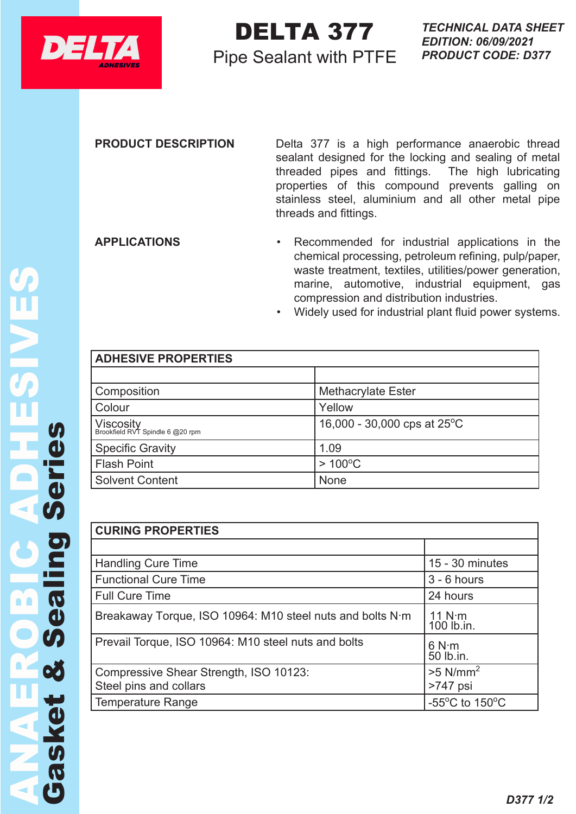

## DELTA 377 **DELTA 377** TECHNICAL DELTA 377

## Pipe Sealant with PTFE

## **PRODUCT DESCRIPTION** Delta 377 is a high performance anaerobic thread sealant designed for the locking and sealing of metal threaded pipes and fittings. The high lubricating properties of this compound prevents galling on stainless steel, aluminium and all other metal pipe threads and fittings.

- **APPLICATIONS** Recommended for industrial applications in the chemical processing, petroleum refining, pulp/paper, waste treatment, textiles, utilities/power generation, marine, automotive, industrial equipment, gas compression and distribution industries.
	- Widely used for industrial plant fluid power systems.

| <b>ADHESIVE PROPERTIES</b>                    |                                       |
|-----------------------------------------------|---------------------------------------|
|                                               |                                       |
|                                               |                                       |
| Composition                                   | <b>Methacrylate Ester</b>             |
| Colour                                        | Yellow                                |
| Viscosity<br>Brookfield RVT Spindle 6 @20 rpm | 16,000 - 30,000 cps at $25^{\circ}$ C |
| <b>Specific Gravity</b>                       | 1.09                                  |
| <b>Flash Point</b>                            | $>100^{\circ}$ C                      |
| <b>Solvent Content</b>                        | None                                  |

| <b>CURING PROPERTIES</b>                                  |                                                      |  |  |  |
|-----------------------------------------------------------|------------------------------------------------------|--|--|--|
|                                                           |                                                      |  |  |  |
| <b>Handling Cure Time</b>                                 | $15 - 30$ minutes                                    |  |  |  |
| <b>Functional Cure Time</b>                               | $3 - 6$ hours                                        |  |  |  |
| <b>Full Cure Time</b>                                     | 24 hours                                             |  |  |  |
| Breakaway Torque, ISO 10964: M10 steel nuts and bolts N·m | $11 N·m$<br>$100 lb.in.$                             |  |  |  |
| Prevail Torque, ISO 10964: M10 steel nuts and bolts       | 6 N·m<br>50 lb.in.                                   |  |  |  |
| Compressive Shear Strength, ISO 10123:                    | $>5$ N/mm <sup>2</sup>                               |  |  |  |
| Steel pins and collars                                    | >747 psi                                             |  |  |  |
| <b>Temperature Range</b>                                  | -55 $\mathrm{^{\circ}C}$ to 150 $\mathrm{^{\circ}C}$ |  |  |  |